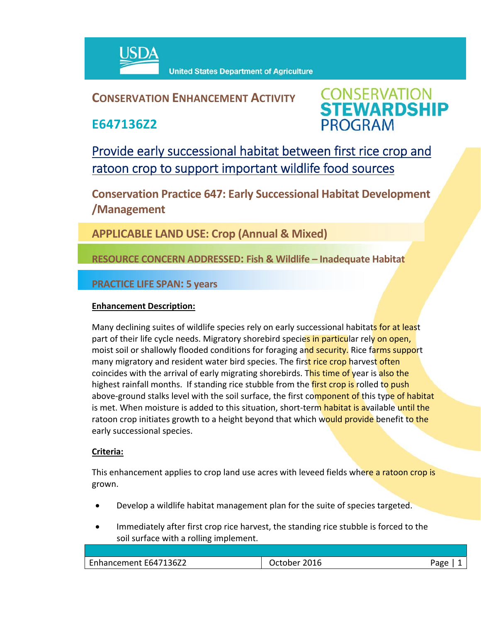

## **CONSERVATION ENHANCEMENT ACTIVITY**

**E647136Z2**



Provide early successional habitat between first rice crop and ratoon crop to support important wildlife food sources

**Conservation Practice 647: Early Successional Habitat Development /Management** 

**APPLICABLE LAND USE: Crop (Annual & Mixed)**

**RESOURCE CONCERN ADDRESSED: Fish & Wildlife – Inadequate Habitat**

**PRACTICE LIFE SPAN: 5 years**

## **Enhancement Description:**

Many declining suites of wildlife species rely on early successional habitats for at least part of their life cycle needs. Migratory shorebird species in particular rely on open, moist soil or shallowly flooded conditions for foraging and security. Rice farms support many migratory and resident water bird species. The first rice crop harvest often coincides with the arrival of early migrating shorebirds. This time of year is also the highest rainfall months. If standing rice stubble from the first crop is rolled to push above-ground stalks level with the soil surface, the first component of this type of habitat is met. When moisture is added to this situation, short-term habitat is available until the ratoon crop initiates growth to a height beyond that which would provide benefit to the early successional species.

## **Criteria:**

This enhancement applies to crop land use acres with leveed fields where a ratoon crop is grown.

- Develop a wildlife habitat management plan for the suite of species targeted.
- Immediately after first crop rice harvest, the standing rice stubble is forced to the soil surface with a rolling implement.

| 136Z2<br>- 171<br>Enhancement<br>Fh4 | 2016<br>∩her<br>$\overline{\phantom{a}}$<br>и | Page |
|--------------------------------------|-----------------------------------------------|------|
|                                      |                                               |      |